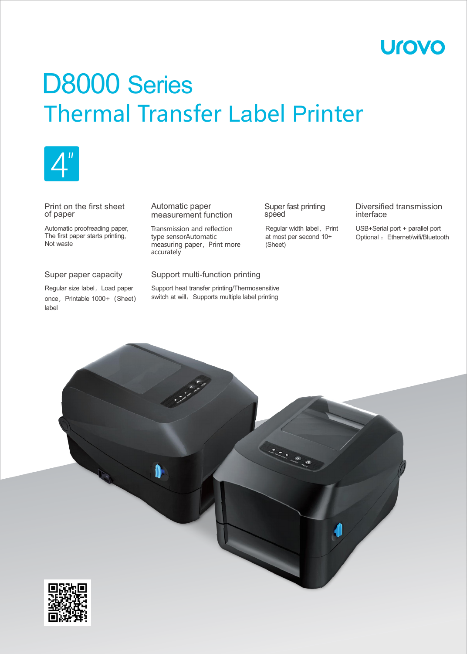# **Urovo**

# Thermal Transfer Label Printer D8000 Series



#### Print on the first sheet of paper

Automatic proofreading paper, The first paper starts printing, Not waste

## Super paper capacity

Regular size label, Load paper once, Printable 1000+ (Sheet) label

#### Automatic paper measurement function

Transmission and reflection type sensorAutomatic measuring paper, Print more accurately

#### Super fast printing speed

Regular width label, Print at most per second 10+ (Sheet)

Diversified transmission interface

USB+Serial port + parallel port Optional : Ethernet/wifi/Bluetooth

### Support multi-function printing

Support heat transfer printing/Thermosensitive switch at will, Supports multiple label printing